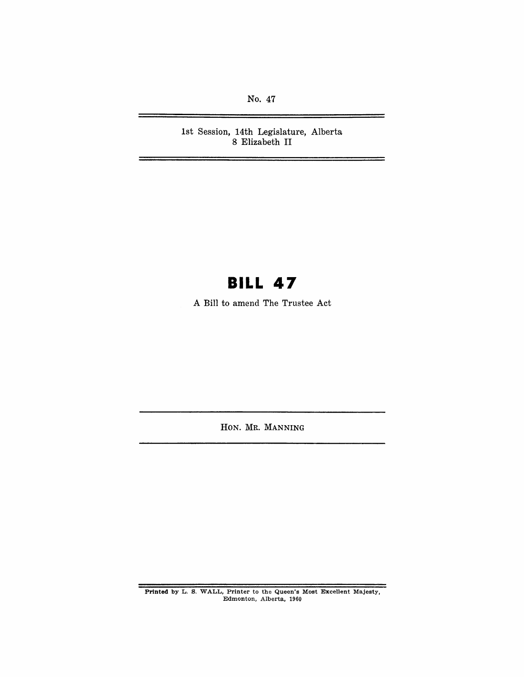No. 47

È.

1st Session, 14th Legislature, Alberta 8 Elizabeth **II** 

# **BILL 47**

A Bill to amend The Trustee Act

HON. MR. MANNING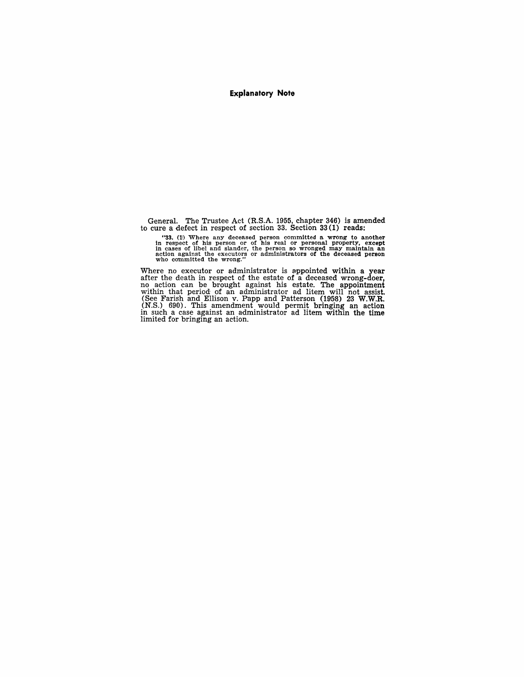#### **Explanatory Note**

General. The Trustee Act (R.S.A. 1955, chapter 346) is amended to cure a defect in respect of section 33. Section 33 (1) reads:

"33. (1) Where any deceased person committed a wrong to another in respect of his person or of his real or personal property, except in cases of libel and slander, the person so wronged may maintain an action against the

Where no executor or administrator is appointed within a year after the death in respect of the estate of a deceased wrong-doer, no action can be brought against his estate. The appointment within that period of an administrator ad litem will not assist. (See Farish and Ellison v. Pa (N.S.) 690). This amendment would permit bringing an action in such a case against an administrator ad litem within the time limited for bringing an action.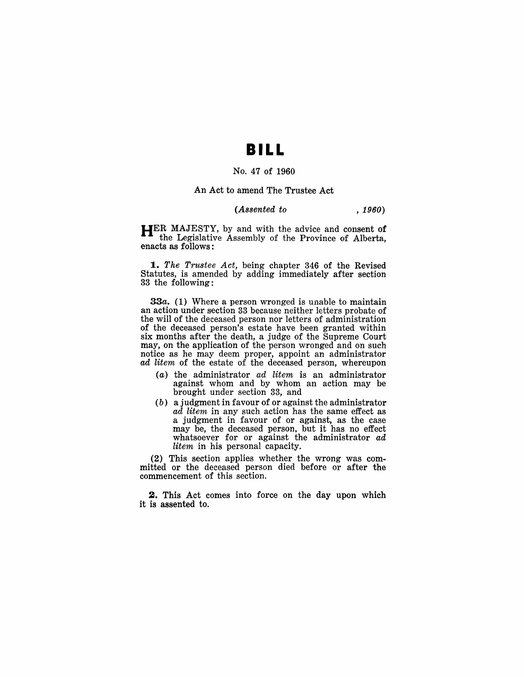### **BILL**

#### No. 47 of 1960

#### An Act to amend The Trustee Act

#### *(Assented to , 1960)*

**HER** MAJESTY, by and with the advice and consent of the Legislative Assembly of the Province of Alberta, enacts as follows:

*1. The Trustee Act,* being chapter 346 of the Revised Statutes, is amended by adding immediately after section 33 the following:

*33a.* (1) Where a person wronged is unable to maintain an action under section 33 because neither letters probate of the will of the deceased person nor letters of administration of the deceased person's estate have been granted within six months after the death, a judge of the Supreme Court may, on the application of the person wronged and on such notice as he may deem proper, appoint an administrator ad litem of the estate of the deceased person, whereupon

- $(a)$  the administrator ad litem is an administrator against whom and by whom an action may be brought under section 33, and
- (b) a judgment in favour of or against the administrator ad litem in any such action has the same effect as a judgment in favour of or against, as the case may be, the deceased person, but it has no effect whatsoever for or against the administrator ad litem in his personal capacity.

(2) This section applies whether the wrong was committed or the deceased person died before or after the commencement of this section.

**2.** This Act comes into force on the day upon which it is assented to.